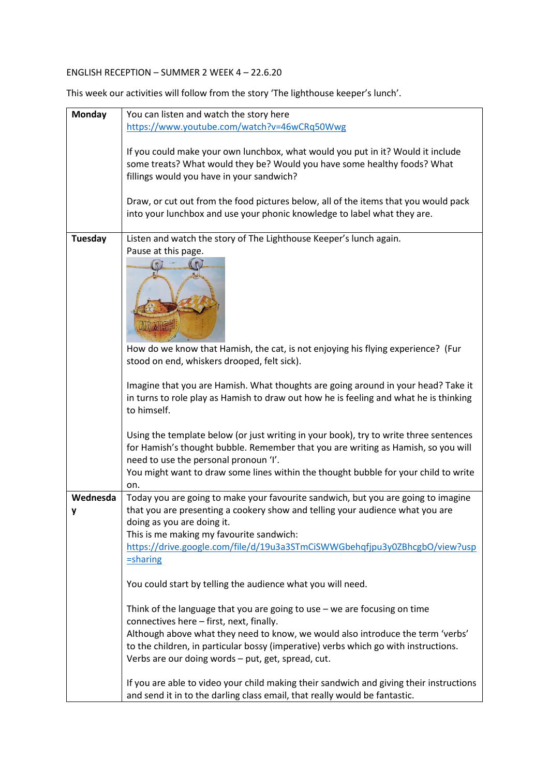## ENGLISH RECEPTION – SUMMER 2 WEEK 4 – 22.6.20

This week our activities will follow from the story 'The lighthouse keeper's lunch'.

| <b>Monday</b>  | You can listen and watch the story here                                                 |
|----------------|-----------------------------------------------------------------------------------------|
|                | https://www.youtube.com/watch?v=46wCRq50Wwg                                             |
|                |                                                                                         |
|                | If you could make your own lunchbox, what would you put in it? Would it include         |
|                | some treats? What would they be? Would you have some healthy foods? What                |
|                | fillings would you have in your sandwich?                                               |
|                |                                                                                         |
|                |                                                                                         |
|                | Draw, or cut out from the food pictures below, all of the items that you would pack     |
|                | into your lunchbox and use your phonic knowledge to label what they are.                |
|                |                                                                                         |
| <b>Tuesday</b> | Listen and watch the story of The Lighthouse Keeper's lunch again.                      |
|                | Pause at this page.                                                                     |
|                |                                                                                         |
|                |                                                                                         |
|                |                                                                                         |
|                |                                                                                         |
|                |                                                                                         |
|                |                                                                                         |
|                |                                                                                         |
|                | How do we know that Hamish, the cat, is not enjoying his flying experience? (Fur        |
|                | stood on end, whiskers drooped, felt sick).                                             |
|                |                                                                                         |
|                | Imagine that you are Hamish. What thoughts are going around in your head? Take it       |
|                | in turns to role play as Hamish to draw out how he is feeling and what he is thinking   |
|                | to himself.                                                                             |
|                |                                                                                         |
|                |                                                                                         |
|                | Using the template below (or just writing in your book), try to write three sentences   |
|                | for Hamish's thought bubble. Remember that you are writing as Hamish, so you will       |
|                | need to use the personal pronoun 'I'.                                                   |
|                | You might want to draw some lines within the thought bubble for your child to write     |
|                | on.                                                                                     |
| Wednesda       | Today you are going to make your favourite sandwich, but you are going to imagine       |
| y              | that you are presenting a cookery show and telling your audience what you are           |
|                | doing as you are doing it.                                                              |
|                | This is me making my favourite sandwich:                                                |
|                | https://drive.google.com/file/d/19u3a3STmCiSWWGbehqfjpu3y0ZBhcgbO/view?usp              |
|                | $=$ sharing                                                                             |
|                |                                                                                         |
|                | You could start by telling the audience what you will need.                             |
|                |                                                                                         |
|                | Think of the language that you are going to use $-$ we are focusing on time             |
|                | connectives here - first, next, finally.                                                |
|                |                                                                                         |
|                | Although above what they need to know, we would also introduce the term 'verbs'         |
|                | to the children, in particular bossy (imperative) verbs which go with instructions.     |
|                | Verbs are our doing words - put, get, spread, cut.                                      |
|                |                                                                                         |
|                | If you are able to video your child making their sandwich and giving their instructions |
|                | and send it in to the darling class email, that really would be fantastic.              |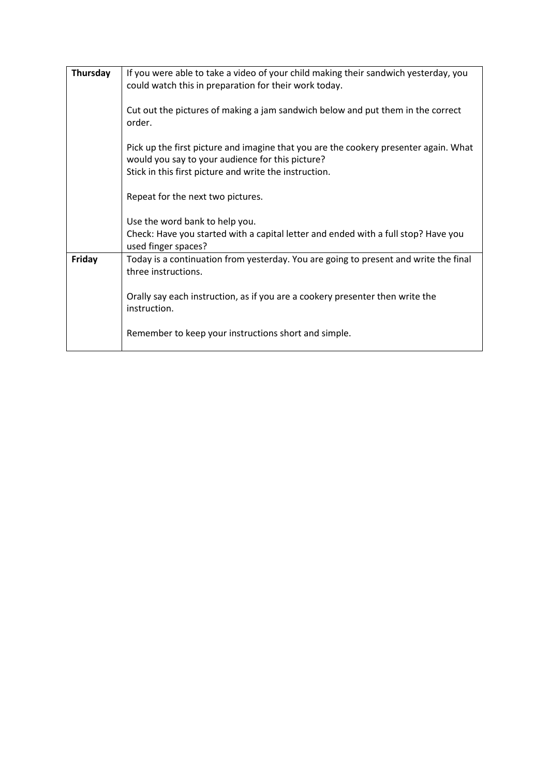| Thursday | If you were able to take a video of your child making their sandwich yesterday, you  |  |  |  |
|----------|--------------------------------------------------------------------------------------|--|--|--|
|          |                                                                                      |  |  |  |
|          | could watch this in preparation for their work today.                                |  |  |  |
|          |                                                                                      |  |  |  |
|          | Cut out the pictures of making a jam sandwich below and put them in the correct      |  |  |  |
|          | order.                                                                               |  |  |  |
|          |                                                                                      |  |  |  |
|          | Pick up the first picture and imagine that you are the cookery presenter again. What |  |  |  |
|          |                                                                                      |  |  |  |
|          | would you say to your audience for this picture?                                     |  |  |  |
|          | Stick in this first picture and write the instruction.                               |  |  |  |
|          |                                                                                      |  |  |  |
|          | Repeat for the next two pictures.                                                    |  |  |  |
|          |                                                                                      |  |  |  |
|          | Use the word bank to help you.                                                       |  |  |  |
|          | Check: Have you started with a capital letter and ended with a full stop? Have you   |  |  |  |
|          | used finger spaces?                                                                  |  |  |  |
| Friday   |                                                                                      |  |  |  |
|          | Today is a continuation from yesterday. You are going to present and write the final |  |  |  |
|          | three instructions.                                                                  |  |  |  |
|          |                                                                                      |  |  |  |
|          | Orally say each instruction, as if you are a cookery presenter then write the        |  |  |  |
|          | instruction.                                                                         |  |  |  |
|          |                                                                                      |  |  |  |
|          | Remember to keep your instructions short and simple.                                 |  |  |  |
|          |                                                                                      |  |  |  |
|          |                                                                                      |  |  |  |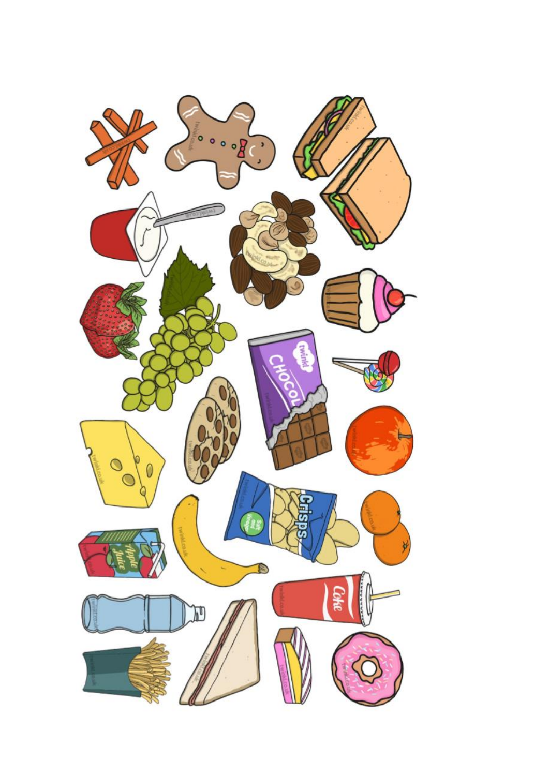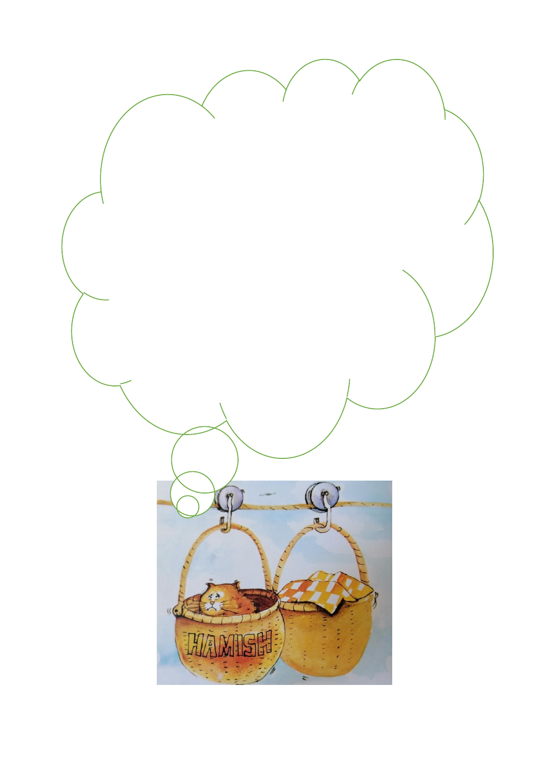